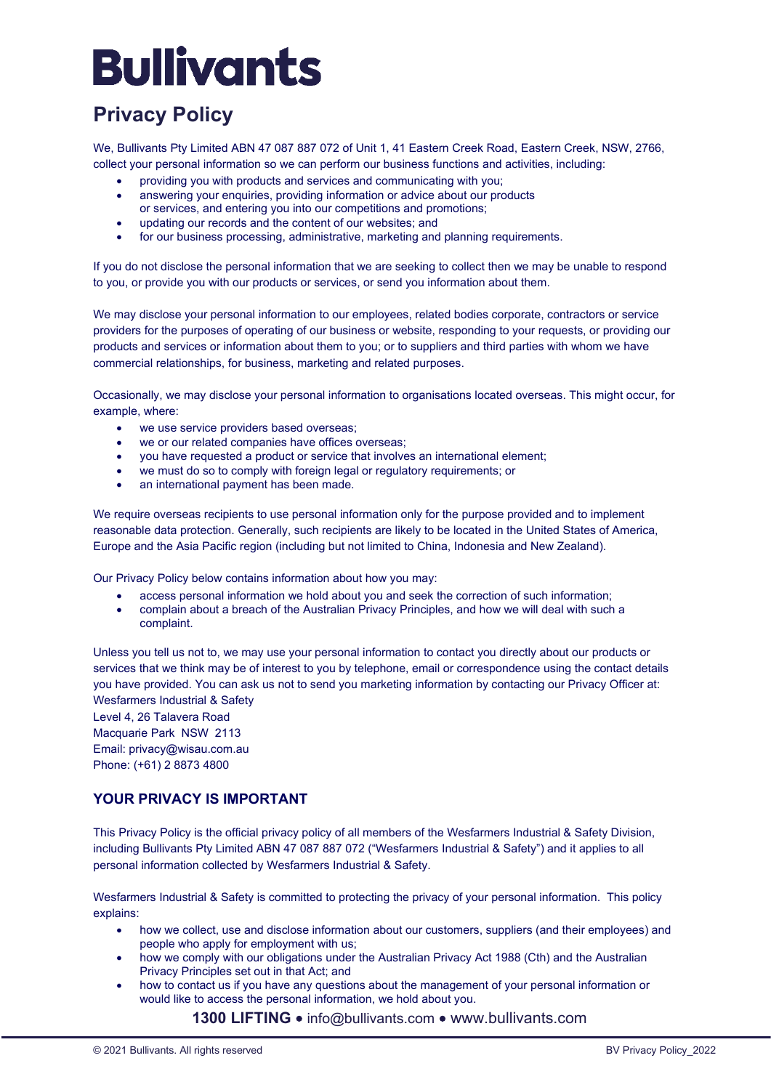### **Privacy Policy**

We, Bullivants Pty Limited ABN 47 087 887 072 of Unit 1, 41 Eastern Creek Road, Eastern Creek, NSW, 2766, collect your personal information so we can perform our business functions and activities, including:

- providing you with products and services and communicating with you;
- answering your enquiries, providing information or advice about our products
- or services, and entering you into our competitions and promotions;
- updating our records and the content of our websites; and for our business processing, administrative, marketing and planning requirements.

If you do not disclose the personal information that we are seeking to collect then we may be unable to respond to you, or provide you with our products or services, or send you information about them.

We may disclose your personal information to our employees, related bodies corporate, contractors or service providers for the purposes of operating of our business or website, responding to your requests, or providing our products and services or information about them to you; or to suppliers and third parties with whom we have commercial relationships, for business, marketing and related purposes.

Occasionally, we may disclose your personal information to organisations located overseas. This might occur, for example, where:

- we use service providers based overseas:
- we or our related companies have offices overseas;
- you have requested a product or service that involves an international element;
- we must do so to comply with foreign legal or regulatory requirements; or
- an international payment has been made.

We require overseas recipients to use personal information only for the purpose provided and to implement reasonable data protection. Generally, such recipients are likely to be located in the United States of America, Europe and the Asia Pacific region (including but not limited to China, Indonesia and New Zealand).

Our Privacy Policy below contains information about how you may:

- access personal information we hold about you and seek the correction of such information;
- complain about a breach of the Australian Privacy Principles, and how we will deal with such a complaint.

Unless you tell us not to, we may use your personal information to contact you directly about our products or services that we think may be of interest to you by telephone, email or correspondence using the contact details you have provided. You can ask us not to send you marketing information by contacting our Privacy Officer at: Wesfarmers Industrial & Safety

Level 4, 26 Talavera Road Macquarie Park NSW 2113 Email: privacy@wisau.com.au Phone: (+61) 2 8873 4800

### **YOUR PRIVACY IS IMPORTANT**

This Privacy Policy is the official privacy policy of all members of the Wesfarmers Industrial & Safety Division, including Bullivants Pty Limited ABN 47 087 887 072 ("Wesfarmers Industrial & Safety") and it applies to all personal information collected by Wesfarmers Industrial & Safety.

Wesfarmers Industrial & Safety is committed to protecting the privacy of your personal information. This policy explains:

- how we collect, use and disclose information about our customers, suppliers (and their employees) and people who apply for employment with us;
- how we comply with our obligations under the Australian Privacy Act 1988 (Cth) and the Australian Privacy Principles set out in that Act; and
- how to contact us if you have any questions about the management of your personal information or would like to access the personal information, we hold about you.

1300 LIFTING  $\bullet$  info@bullivants.com  $\bullet$  www.bullivants.com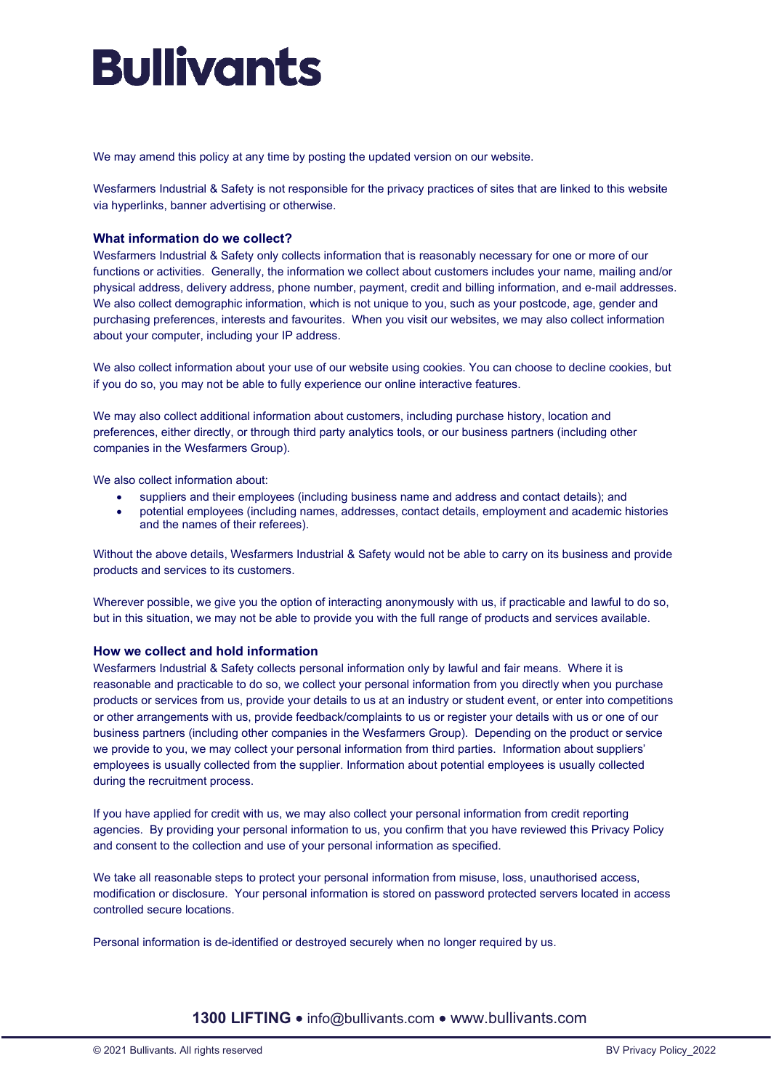We may amend this policy at any time by posting the updated version on our website.

Wesfarmers Industrial & Safety is not responsible for the privacy practices of sites that are linked to this website via hyperlinks, banner advertising or otherwise.

### **What information do we collect?**

Wesfarmers Industrial & Safety only collects information that is reasonably necessary for one or more of our functions or activities. Generally, the information we collect about customers includes your name, mailing and/or physical address, delivery address, phone number, payment, credit and billing information, and e-mail addresses. We also collect demographic information, which is not unique to you, such as your postcode, age, gender and purchasing preferences, interests and favourites. When you visit our websites, we may also collect information about your computer, including your IP address.

We also collect information about your use of our website using cookies. You can choose to decline cookies, but if you do so, you may not be able to fully experience our online interactive features.

We may also collect additional information about customers, including purchase history, location and preferences, either directly, or through third party analytics tools, or our business partners (including other companies in the Wesfarmers Group).

We also collect information about:

- suppliers and their employees (including business name and address and contact details); and
- potential employees (including names, addresses, contact details, employment and academic histories and the names of their referees).

Without the above details, Wesfarmers Industrial & Safety would not be able to carry on its business and provide products and services to its customers.

Wherever possible, we give you the option of interacting anonymously with us, if practicable and lawful to do so, but in this situation, we may not be able to provide you with the full range of products and services available.

#### **How we collect and hold information**

Wesfarmers Industrial & Safety collects personal information only by lawful and fair means. Where it is reasonable and practicable to do so, we collect your personal information from you directly when you purchase products or services from us, provide your details to us at an industry or student event, or enter into competitions or other arrangements with us, provide feedback/complaints to us or register your details with us or one of our business partners (including other companies in the Wesfarmers Group). Depending on the product or service we provide to you, we may collect your personal information from third parties. Information about suppliers' employees is usually collected from the supplier. Information about potential employees is usually collected during the recruitment process.

If you have applied for credit with us, we may also collect your personal information from credit reporting agencies. By providing your personal information to us, you confirm that you have reviewed this Privacy Policy and consent to the collection and use of your personal information as specified.

We take all reasonable steps to protect your personal information from misuse, loss, unauthorised access, modification or disclosure. Your personal information is stored on password protected servers located in access controlled secure locations.

Personal information is de-identified or destroyed securely when no longer required by us.

### 1300 LIFTING  $\bullet$  info@bullivants.com  $\bullet$  www.bullivants.com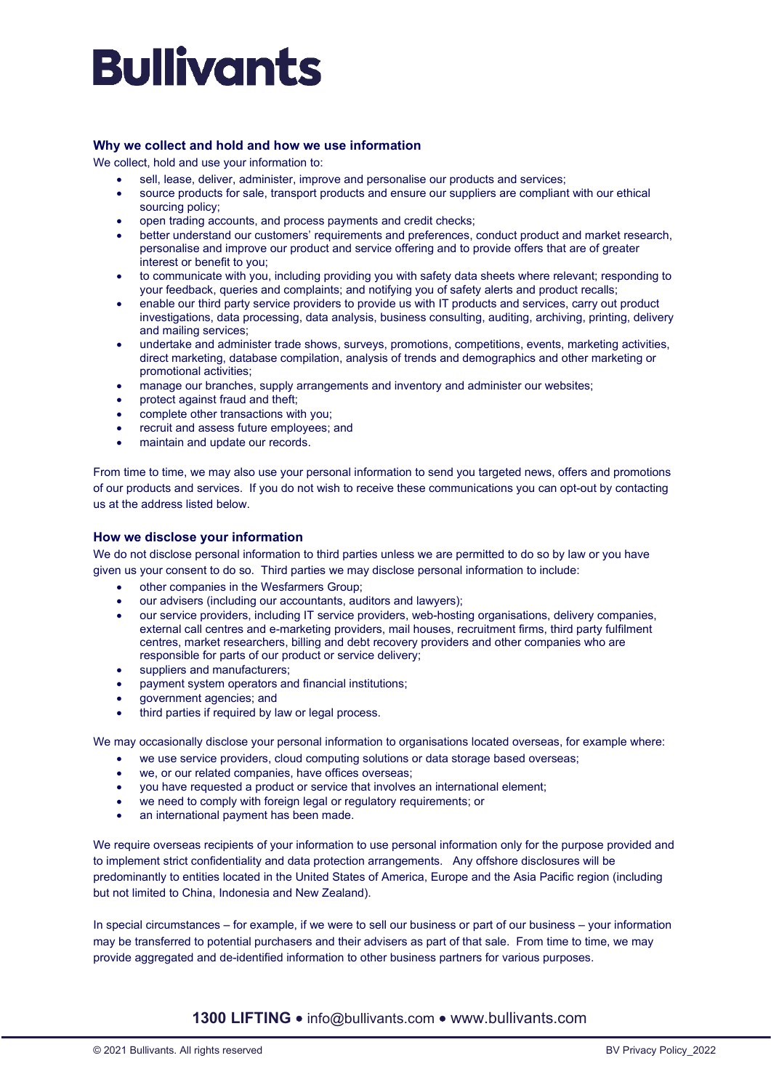### **Why we collect and hold and how we use information**

We collect, hold and use your information to:

- sell, lease, deliver, administer, improve and personalise our products and services;
- source products for sale, transport products and ensure our suppliers are compliant with our ethical sourcing policy;
- open trading accounts, and process payments and credit checks;
- better understand our customers' requirements and preferences, conduct product and market research, personalise and improve our product and service offering and to provide offers that are of greater interest or benefit to you;
- to communicate with you, including providing you with safety data sheets where relevant; responding to your feedback, queries and complaints; and notifying you of safety alerts and product recalls;
- enable our third party service providers to provide us with IT products and services, carry out product investigations, data processing, data analysis, business consulting, auditing, archiving, printing, delivery and mailing services;
- undertake and administer trade shows, surveys, promotions, competitions, events, marketing activities, direct marketing, database compilation, analysis of trends and demographics and other marketing or promotional activities;
- manage our branches, supply arrangements and inventory and administer our websites;
- protect against fraud and theft;
- complete other transactions with you;
- recruit and assess future employees; and
- maintain and update our records.

From time to time, we may also use your personal information to send you targeted news, offers and promotions of our products and services. If you do not wish to receive these communications you can opt-out by contacting us at the address listed below.

#### **How we disclose your information**

We do not disclose personal information to third parties unless we are permitted to do so by law or you have given us your consent to do so. Third parties we may disclose personal information to include:

- other companies in the Wesfarmers Group;
- our advisers (including our accountants, auditors and lawyers);
- our service providers, including IT service providers, web-hosting organisations, delivery companies, external call centres and e-marketing providers, mail houses, recruitment firms, third party fulfilment centres, market researchers, billing and debt recovery providers and other companies who are responsible for parts of our product or service delivery;
- suppliers and manufacturers;
- payment system operators and financial institutions;
- government agencies; and
- third parties if required by law or legal process.

We may occasionally disclose your personal information to organisations located overseas, for example where:

- we use service providers, cloud computing solutions or data storage based overseas;
- we, or our related companies, have offices overseas;
- you have requested a product or service that involves an international element;
- we need to comply with foreign legal or regulatory requirements; or
- an international payment has been made.

We require overseas recipients of your information to use personal information only for the purpose provided and to implement strict confidentiality and data protection arrangements. Any offshore disclosures will be predominantly to entities located in the United States of America, Europe and the Asia Pacific region (including but not limited to China, Indonesia and New Zealand).

In special circumstances – for example, if we were to sell our business or part of our business – your information may be transferred to potential purchasers and their advisers as part of that sale. From time to time, we may provide aggregated and de-identified information to other business partners for various purposes.

1300 LIFTING  $\bullet$  info@bullivants.com  $\bullet$  www.bullivants.com